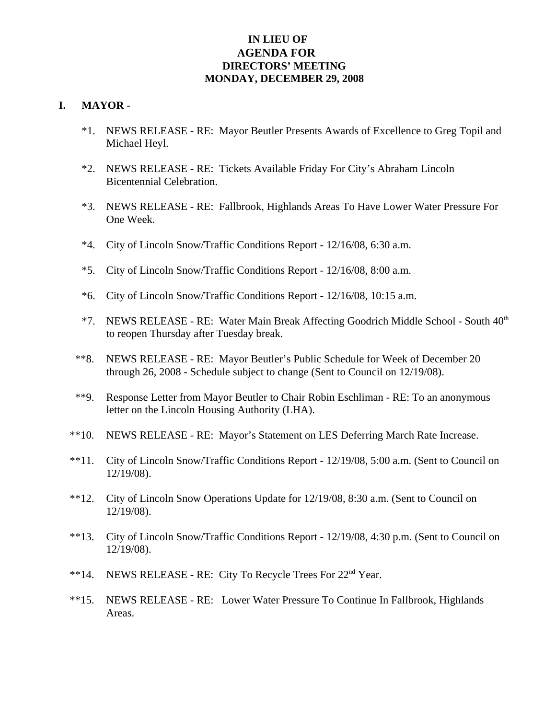## **IN LIEU OF AGENDA FOR DIRECTORS' MEETING MONDAY, DECEMBER 29, 2008**

#### **I. MAYOR** -

- \*1. NEWS RELEASE RE: Mayor Beutler Presents Awards of Excellence to Greg Topil and Michael Heyl.
- \*2. NEWS RELEASE RE: Tickets Available Friday For City's Abraham Lincoln Bicentennial Celebration.
- \*3. NEWS RELEASE RE: Fallbrook, Highlands Areas To Have Lower Water Pressure For One Week.
- \*4. City of Lincoln Snow/Traffic Conditions Report 12/16/08, 6:30 a.m.
- \*5. City of Lincoln Snow/Traffic Conditions Report 12/16/08, 8:00 a.m.
- \*6. City of Lincoln Snow/Traffic Conditions Report 12/16/08, 10:15 a.m.
- \*7. NEWS RELEASE RE: Water Main Break Affecting Goodrich Middle School South  $40<sup>th</sup>$ to reopen Thursday after Tuesday break.
- \*\*8. NEWS RELEASE RE: Mayor Beutler's Public Schedule for Week of December 20 through 26, 2008 - Schedule subject to change (Sent to Council on 12/19/08).
- \*\*9. Response Letter from Mayor Beutler to Chair Robin Eschliman RE: To an anonymous letter on the Lincoln Housing Authority (LHA).
- \*\*10. NEWS RELEASE RE: Mayor's Statement on LES Deferring March Rate Increase.
- \*\*11. City of Lincoln Snow/Traffic Conditions Report 12/19/08, 5:00 a.m. (Sent to Council on 12/19/08).
- \*\*12. City of Lincoln Snow Operations Update for 12/19/08, 8:30 a.m. (Sent to Council on 12/19/08).
- \*\*13. City of Lincoln Snow/Traffic Conditions Report 12/19/08, 4:30 p.m. (Sent to Council on 12/19/08).
- \*\*14. NEWS RELEASE RE: City To Recycle Trees For 22nd Year.
- \*\*15. NEWS RELEASE RE: Lower Water Pressure To Continue In Fallbrook, Highlands Areas.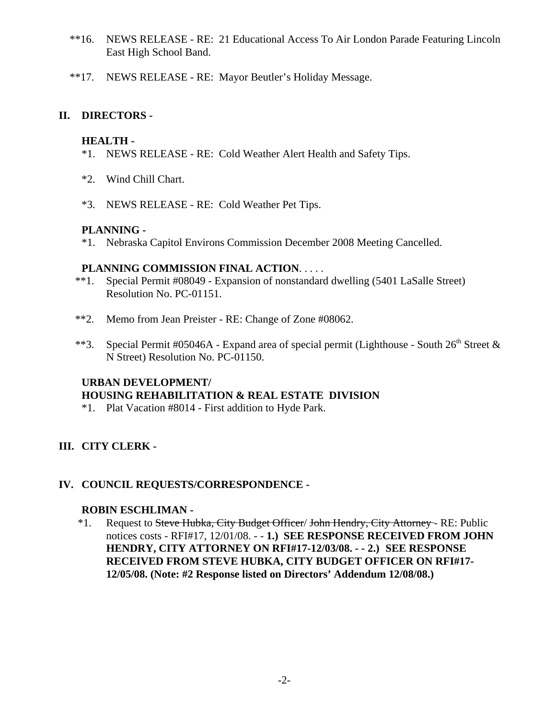- \*\*16. NEWS RELEASE RE: 21 Educational Access To Air London Parade Featuring Lincoln East High School Band.
- \*\*17. NEWS RELEASE RE: Mayor Beutler's Holiday Message.

## **II. DIRECTORS -**

#### **HEALTH -**

- \*1. NEWS RELEASE RE: Cold Weather Alert Health and Safety Tips.
- \*2. Wind Chill Chart.
- \*3. NEWS RELEASE RE: Cold Weather Pet Tips.

#### **PLANNING -**

\*1. Nebraska Capitol Environs Commission December 2008 Meeting Cancelled.

#### **PLANNING COMMISSION FINAL ACTION**. . . . .

- \*\*1. Special Permit #08049 Expansion of nonstandard dwelling (5401 LaSalle Street) Resolution No. PC-01151.
- \*\*2. Memo from Jean Preister RE: Change of Zone #08062.
- \*\*3. Special Permit #05046A Expand area of special permit (Lighthouse South  $26<sup>th</sup>$  Street & N Street) Resolution No. PC-01150.

# **URBAN DEVELOPMENT/ HOUSING REHABILITATION & REAL ESTATE DIVISION**

\*1. Plat Vacation #8014 - First addition to Hyde Park.

## **III. CITY CLERK -**

## **IV. COUNCIL REQUESTS/CORRESPONDENCE -**

#### **ROBIN ESCHLIMAN -**

\*1. Request to Steve Hubka, City Budget Officer/ John Hendry, City Attorney - RE: Public notices costs - RFI#17, 12/01/08. - - **1.) SEE RESPONSE RECEIVED FROM JOHN HENDRY, CITY ATTORNEY ON RFI#17-12/03/08. - - 2.) SEE RESPONSE RECEIVED FROM STEVE HUBKA, CITY BUDGET OFFICER ON RFI#17- 12/05/08. (Note: #2 Response listed on Directors' Addendum 12/08/08.)**